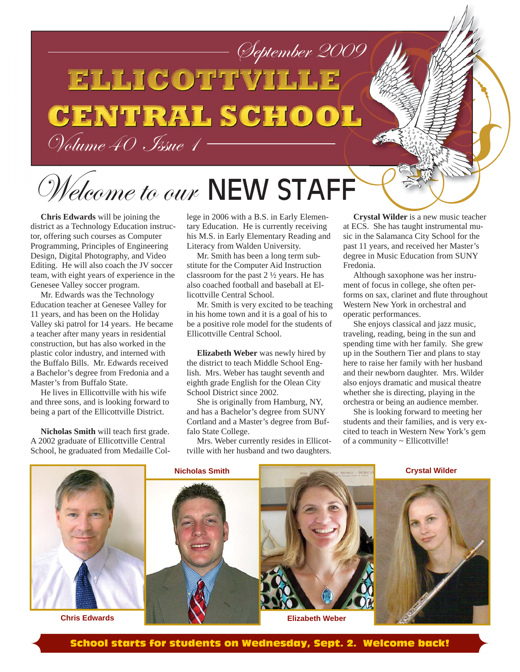## September 2009<br>ELLICOTTYHHE **CENTRAL SCHOOL** Volume 40 Issue 1

## Welcome to our NEW STAFF

**Chris Edwards** will be joining the district as a Technology Education instructor, offering such courses as Computer Programming, Principles of Engineering Design, Digital Photography, and Video Editing. He will also coach the JV soccer team, with eight years of experience in the Genesee Valley soccer program.

Mr. Edwards was the Technology Education teacher at Genesee Valley for 11 years, and has been on the Holiday Valley ski patrol for 14 years. He became a teacher after many years in residential construction, but has also worked in the plastic color industry, and interned with the Buffalo Bills. Mr. Edwards received a Bachelor's degree from Fredonia and a Master's from Buffalo State.

He lives in Ellicottville with his wife and three sons, and is looking forward to being a part of the Ellicottville District.

**Nicholas Smith** will teach first grade. A 2002 graduate of Ellicottville Central School, he graduated from Medaille College in 2006 with a B.S. in Early Elementary Education. He is currently receiving his M.S. in Early Elementary Reading and Literacy from Walden University.

Mr. Smith has been a long term substitute for the Computer Aid Instruction classroom for the past 2 ½ years. He has also coached football and baseball at Ellicottville Central School.

Mr. Smith is very excited to be teaching in his home town and it is a goal of his to be a positive role model for the students of Ellicottville Central School.

**Elizabeth Weber** was newly hired by the district to teach Middle School English. Mrs. Weber has taught seventh and eighth grade English for the Olean City School District since 2002.

She is originally from Hamburg, NY, and has a Bachelor's degree from SUNY Cortland and a Master's degree from Buffalo State College.

Mrs. Weber currently resides in Ellicottville with her husband and two daughters.

**Crystal Wilder** is a new music teacher at ECS. She has taught instrumental music in the Salamanca City School for the past 11 years, and received her Master's degree in Music Education from SUNY Fredonia.

Although saxophone was her instrument of focus in college, she often performs on sax, clarinet and flute throughout Western New York in orchestral and operatic performances.

She enjoys classical and jazz music, traveling, reading, being in the sun and spending time with her family. She grew up in the Southern Tier and plans to stay here to raise her family with her husband and their newborn daughter. Mrs. Wilder also enjoys dramatic and musical theatre whether she is directing, playing in the orchestra or being an audience member.

She is looking forward to meeting her students and their families, and is very excited to teach in Western New York's gem of a community ~ Ellicottville!

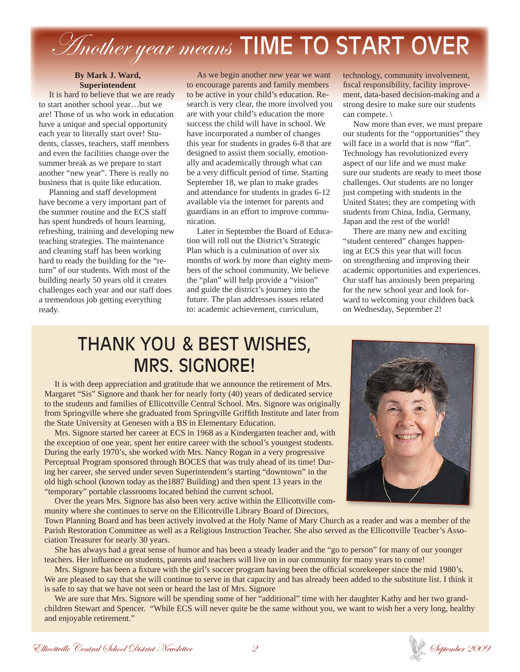## Another year means TIME TO START OVER

### **By Mark J. Ward, Superintendent**

It is hard to believe that we are ready to start another school year…but we are! Those of us who work in education have a unique and special opportunity each year to literally start over! Students, classes, teachers, staff members and even the facilities change over the summer break as we prepare to start another "new year". There is really no business that is quite like education.

Planning and staff development have become a very important part of the summer routine and the ECS staff has spent hundreds of hours learning, refreshing, training and developing new teaching strategies. The maintenance and cleaning staff has been working hard to ready the building for the "return" of our students. With most of the building nearly 50 years old it creates challenges each year and our staff does a tremendous job getting everything ready.

As we begin another new year we want to encourage parents and family members to be active in your child's education. Research is very clear, the more involved you are with your child's education the more success the child will have in school. We have incorporated a number of changes this year for students in grades 6-8 that are designed to assist them socially, emotionally and academically through what can be a very difficult period of time. Starting September 18, we plan to make grades and attendance for students in grades 6-12 available via the internet for parents and guardians in an effort to improve communication.

Later in September the Board of Education will roll out the District's Strategic Plan which is a culmination of over six months of work by more than eighty members of the school community. We believe the "plan" will help provide a "vision" and guide the district's journey into the future. The plan addresses issues related to: academic achievement, curriculum,

technology, community involvement, fiscal responsibility, facility improvement, data-based decision-making and a strong desire to make sure our students can compete. \

Now more than ever, we must prepare our students for the "opportunities" they will face in a world that is now "flat". Technology has revolutionized every aspect of our life and we must make sure our students are ready to meet those challenges. Our students are no longer just competing with students in the United States; they are competing with students from China, India, Germany, Japan and the rest of the world!

There are many new and exciting "student centered" changes happening at ECS this year that will focus on strengthening and improving their academic opportunities and experiences. Our staff has anxiously been preparing for the new school year and look forward to welcoming your children back on Wednesday, September 2!

### THANK YOU & BEST WISHES, MRS. SIGNORE!

It is with deep appreciation and gratitude that we announce the retirement of Mrs. Margaret "Sis" Signore and thank her for nearly forty (40) years of dedicated service to the students and families of Ellicottville Central School. Mrs. Signore was originally from Springville where she graduated from Springville Griffith Institute and later from the State University at Geneseo with a BS in Elementary Education.

Mrs. Signore started her career at ECS in 1968 as a Kindergarten teacher and, with the exception of one year, spent her entire career with the school's youngest students. During the early 1970's, she worked with Mrs. Nancy Rogan in a very progressive Perceptual Program sponsored through BOCES that was truly ahead of its time! During her career, she served under seven Superintendent's starting "downtown" in the old high school (known today as the1887 Building) and then spent 13 years in the "temporary" portable classrooms located behind the current school.

Over the years Mrs. Signore has also been very active within the Ellicottville community where she continues to serve on the Ellicottville Library Board of Directors,

Town Planning Board and has been actively involved at the Holy Name of Mary Church as a reader and was a member of the Parish Restoration Committee as well as a Religious Instruction Teacher. She also served as the Ellicottville Teacher's Association Treasurer for nearly 30 years.

She has always had a great sense of humor and has been a steady leader and the "go to person" for many of our younger teachers. Her influence on students, parents and teachers will live on in our community for many years to come!

Mrs. Signore has been a fixture with the girl's soccer program having been the official scorekeeper since the mid 1980's. We are pleased to say that she will continue to serve in that capacity and has already been added to the substitute list. I think it is safe to say that we have not seen or heard the last of Mrs. Signore

We are sure that Mrs. Signore will be spending some of her "additional" time with her daughter Kathy and her two grandchildren Stewart and Spencer. "While ECS will never quite be the same without you, we want to wish her a very long, healthy and enjoyable retirement."

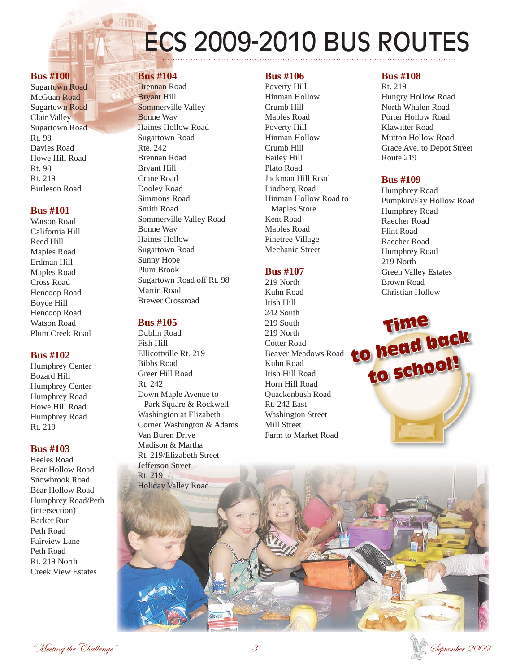# ECS 2009-2010 BUS ROUTES

### **Bus #100**

Sugartown Road McGuan Road Sugartown Road Clair Valley Sugartown Road Rt. 98 Davies Road Howe Hill Road Rt. 98 Rt. 219 Burleson Road

### **Bus #101**

Watson Road California Hill Reed Hill Maples Road Erdman Hill Maples Road Cross Road Hencoop Road Boyce Hill Hencoop Road Watson Road Plum Creek Road

### **Bus #102**

Humphrey Center Bozard Hill Humphrey Center Humphrey Road Howe Hill Road Humphrey Road Rt. 219

### **Bus #103**

Beeles Road Bear Hollow Road Snowbrook Road Bear Hollow Road Humphrey Road/Peth (intersection) Barker Run Peth Road Fairview Lane Peth Road Rt. 219 North Creek View Estates

### **Bus #104**

Brennan Road Bryant Hill Sommerville Valley Bonne Way Haines Hollow Road Sugartown Road Rte. 242 Brennan Road Bryant Hill Crane Road Dooley Road Simmons Road Smith Road Sommerville Valley Road Bonne Way Haines Hollow Sugartown Road Sunny Hope Plum Brook Sugartown Road off Rt. 98 Martin Road Brewer Crossroad

### **Bus #105**

Dublin Road Fish Hill Ellicottville Rt. 219 Bibbs Road Greer Hill Road Rt. 242 Down Maple Avenue to Park Square & Rockwell Washington at Elizabeth Corner Washington & Adams Van Buren Drive Madison & Martha Rt. 219/Elizabeth Street Jefferson Street Rt. 219 Holiday Valley Road

### **Bus #106**

Poverty Hill Hinman Hollow Crumb Hill Maples Road Poverty Hill Hinman Hollow Crumb Hill Bailey Hill Plato Road Jackman Hill Road Lindberg Road Hinman Hollow Road to Maples Store Kent Road Maples Road Pinetree Village Mechanic Street

### **Bus #107** 219 North

Kuhn Road Irish Hill 242 South 219 South 219 North Cotter Road Beaver Meadows Road Kuhn Road Irish Hill Road Horn Hill Road Quackenbush Road Rt. 242 East Washington Street Mill Street Farm to Market Road

### **Bus #108**

Rt. 219 Hungry Hollow Road North Whalen Road Porter Hollow Road Klawitter Road Mutton Hollow Road Grace Ave. to Depot Street Route 219

### **Bus #109**

Humphrey Road Pumpkin/Fay Hollow Road Humphrey Road Raecher Road Flint Road Raecher Road Humphrey Road 219 North Green Valley Estates Brown Road Christian Hollow





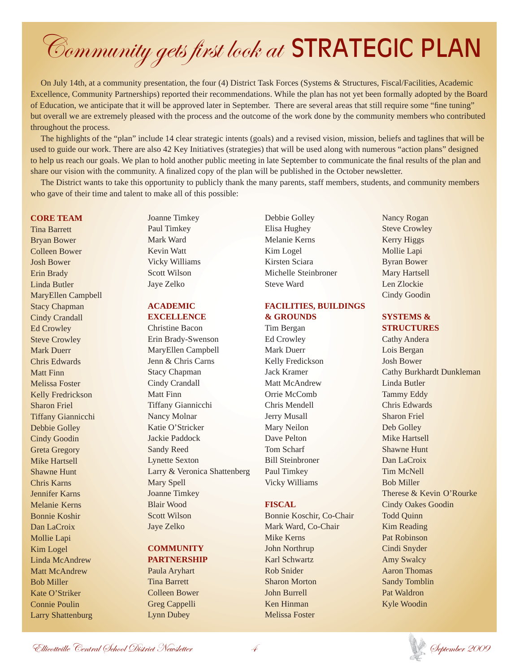## Community gets first look at STRATEGIC PLAN

On July 14th, at a community presentation, the four (4) District Task Forces (Systems & Structures, Fiscal/Facilities, Academic Excellence, Community Partnerships) reported their recommendations. While the plan has not yet been formally adopted by the Board of Education, we anticipate that it will be approved later in September. There are several areas that still require some "fine tuning" but overall we are extremely pleased with the process and the outcome of the work done by the community members who contributed throughout the process.

The highlights of the "plan" include 14 clear strategic intents (goals) and a revised vision, mission, beliefs and taglines that will be used to guide our work. There are also 42 Key Initiatives (strategies) that will be used along with numerous "action plans" designed to help us reach our goals. We plan to hold another public meeting in late September to communicate the final results of the plan and share our vision with the community. A finalized copy of the plan will be published in the October newsletter.

The District wants to take this opportunity to publicly thank the many parents, staff members, students, and community members who gave of their time and talent to make all of this possible:

### **CORE TEAM**

Tina Barrett Bryan Bower Colleen Bower Josh Bower Erin Brady Linda Butler MaryEllen Campbell Stacy Chapman Cindy Crandall Ed Crowley Steve Crowley Mark Duerr Chris Edwards Matt Finn Melissa Foster Kelly Fredrickson Sharon Friel Tiffany Giannicchi Debbie Golley Cindy Goodin Greta Gregory Mike Hartsell Shawne Hunt Chris Karns Jennifer Karns Melanie Kerns Bonnie Koshir Dan LaCroix Mollie Lapi Kim Logel Linda McAndrew Matt McAndrew Bob Miller Kate O'Striker Connie Poulin Larry Shattenburg

Joanne Timkey Paul Timkey Mark Ward Kevin Watt Vicky Williams Scott Wilson Jaye Zelko

### **ACADEMIC EXCELLENCE**

 Christine Bacon Erin Brady-Swenson MaryEllen Campbell Jenn & Chris Carns Stacy Chapman Cindy Crandall Matt Finn Tiffany Giannicchi Nancy Molnar Katie O'Stricker Jackie Paddock Sandy Reed Lynette Sexton Larry & Veronica Shattenberg Mary Spell Joanne Timkey Blair Wood Scott Wilson Jaye Zelko

### **COMMUNITY**

**PARTNERSHIP** Paula Aryhart Tina Barrett Colleen Bower Greg Cappelli Lynn Dubey

Debbie Golley Elisa Hughey Melanie Kerns Kim Logel Kirsten Sciara Michelle Steinbroner Steve Ward

### **FACILITIES, BUILDINGS & GROUNDS**

Tim Bergan Ed Crowley Mark Duerr Kelly Fredickson Jack Kramer Matt McAndrew Orrie McComb Chris Mendell Jerry Musall Mary Neilon Dave Pelton Tom Scharf Bill Steinbroner Paul Timkey Vicky Williams

### **FISCAL**

Bonnie Koschir, Co-Chair Mark Ward, Co-Chair Mike Kerns John Northrup Karl Schwartz Rob Snider Sharon Morton John Burrell Ken Hinman Melissa Foster

Nancy Rogan Steve Crowley Kerry Higgs Mollie Lapi Byran Bower Mary Hartsell Len Zlockie Cindy Goodin

### **SYSTEMS & STRUCTURES**

Cathy Andera Lois Bergan Josh Bower Cathy Burkhardt Dunkleman Linda Butler Tammy Eddy Chris Edwards Sharon Friel Deb Golley Mike Hartsell Shawne Hunt Dan LaCroix Tim McNell Bob Miller Therese & Kevin O'Rourke Cindy Oakes Goodin Todd Quinn Kim Reading Pat Robinson Cindi Snyder Amy Swalcy Aaron Thomas Sandy Tomblin Pat Waldron Kyle Woodin

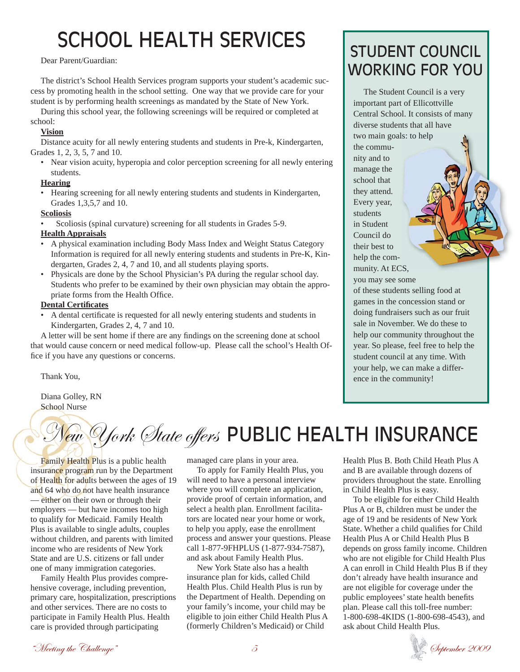## SCHOOL HEALTH SERVICES STUDENT COUNCIL

### Dear Parent/Guardian:

The district's School Health Services program supports your student's academic success by promoting health in the school setting. One way that we provide care for your student is by performing health screenings as mandated by the State of New York.

During this school year, the following screenings will be required or completed at school:

### **Vision**

Distance acuity for all newly entering students and students in Pre-k, Kindergarten, Grades 1, 2, 3, 5, 7 and 10.

• Near vision acuity, hyperopia and color perception screening for all newly entering students.

### **Hearing**

• Hearing screening for all newly entering students and students in Kindergarten, Grades 1,3,5,7 and 10.

### **Scoliosis**

• Scoliosis (spinal curvature) screening for all students in Grades 5-9.

### **Health Appraisals**

- A physical examination including Body Mass Index and Weight Status Category Information is required for all newly entering students and students in Pre-K, Kindergarten, Grades 2, 4, 7 and 10, and all students playing sports.
- Physicals are done by the School Physician's PA during the regular school day. Students who prefer to be examined by their own physician may obtain the appropriate forms from the Health Office.

### **Dental Certifi cates**

A dental certificate is requested for all newly entering students and students in Kindergarten, Grades 2, 4, 7 and 10.

A letter will be sent home if there are any findings on the screening done at school that would cause concern or need medical follow-up. Please call the school's Health Office if you have any questions or concerns.

Thank You,

Diana Golley, RN School Nurse

## *ew York State offers* PUBLIC HEALTH INSURANCE

Family Health Plus is a public health insurance program run by the Department of Health for adults between the ages of 19 and 64 who do not have health insurance — either on their own or through their employers — but have incomes too high to qualify for Medicaid. Family Health Plus is available to single adults, couples without children, and parents with limited income who are residents of New York State and are U.S. citizens or fall under one of many immigration categories.

Family Health Plus provides comprehensive coverage, including prevention, primary care, hospitalization, prescriptions and other services. There are no costs to participate in Family Health Plus. Health care is provided through participating

managed care plans in your area.

To apply for Family Health Plus, you will need to have a personal interview where you will complete an application, provide proof of certain information, and select a health plan. Enrollment facilitators are located near your home or work, to help you apply, ease the enrollment process and answer your questions. Please call 1-877-9FHPLUS (1-877-934-7587), and ask about Family Health Plus.

New York State also has a health insurance plan for kids, called Child Health Plus. Child Health Plus is run by the Department of Health. Depending on your family's income, your child may be eligible to join either Child Health Plus A (formerly Children's Medicaid) or Child

# WORKING FOR YOU

The Student Council is a very important part of Ellicottville Central School. It consists of many diverse students that all have two main goals: to help the community and to manage the school that they attend. Every year, students in Student Council do their best to help the community. At ECS, you may see some of these students selling food at games in the concession stand or doing fundraisers such as our fruit sale in November. We do these to help our community throughout the year. So please, feel free to help the student council at any time. With your help, we can make a difference in the community! als:<br> $\begin{bmatrix} 1 \\ -1 \\ -1 \\ -1 \\ -1 \end{bmatrix}$ 

Health Plus B. Both Child Heath Plus A and B are available through dozens of providers throughout the state. Enrolling in Child Health Plus is easy.

To be eligible for either Child Health Plus A or B, children must be under the age of 19 and be residents of New York State. Whether a child qualifies for Child Health Plus A or Child Health Plus B depends on gross family income. Children who are not eligible for Child Health Plus A can enroll in Child Health Plus B if they don't already have health insurance and are not eligible for coverage under the public employees' state health benefits plan. Please call this toll-free number: 1-800-698-4KIDS (1-800-698-4543), and ask about Child Health Plus.

"Meeting the Challenge"  $5$   $5$ 

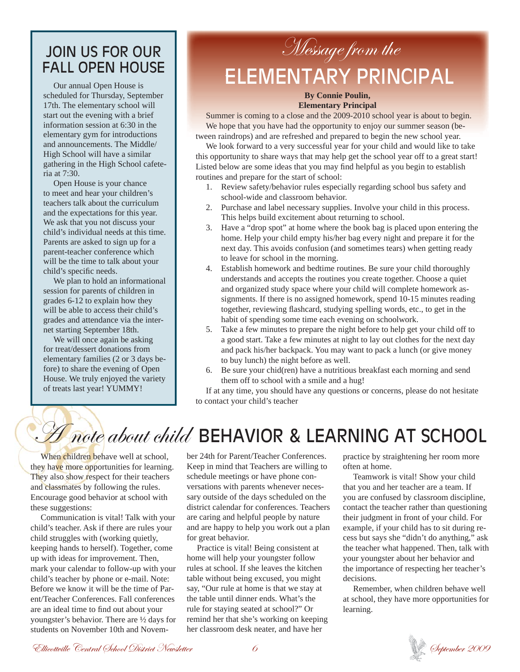### JOIN US FOR OUR FALL OPEN HOUSE

Our annual Open House is scheduled for Thursday, September 17th. The elementary school will start out the evening with a brief information session at 6:30 in the elementary gym for introductions and announcements. The Middle/ High School will have a similar gathering in the High School cafeteria at 7:30.

Open House is your chance to meet and hear your children's teachers talk about the curriculum and the expectations for this year. We ask that you not discuss your child's individual needs at this time. Parents are asked to sign up for a parent-teacher conference which will be the time to talk about your child's specific needs.

We plan to hold an informational session for parents of children in grades 6-12 to explain how they will be able to access their child's grades and attendance via the internet starting September 18th.

We will once again be asking for treat/dessert donations from elementary families (2 or 3 days before) to share the evening of Open House. We truly enjoyed the variety of treats last year! YUMMY!

### Message from the 'ELEMENTARY PRINCIPAL

### **By Connie Poulin, Elementary Principal**

Summer is coming to a close and the 2009-2010 school year is about to begin. We hope that you have had the opportunity to enjoy our summer season (between raindrops) and are refreshed and prepared to begin the new school year.

We look forward to a very successful year for your child and would like to take this opportunity to share ways that may help get the school year off to a great start! Listed below are some ideas that you may find helpful as you begin to establish routines and prepare for the start of school:

- 1. Review safety/behavior rules especially regarding school bus safety and school-wide and classroom behavior.
- 2. Purchase and label necessary supplies. Involve your child in this process. This helps build excitement about returning to school.
- 3. Have a "drop spot" at home where the book bag is placed upon entering the home. Help your child empty his/her bag every night and prepare it for the next day. This avoids confusion (and sometimes tears) when getting ready to leave for school in the morning.
- 4. Establish homework and bedtime routines. Be sure your child thoroughly understands and accepts the routines you create together. Choose a quiet and organized study space where your child will complete homework assignments. If there is no assigned homework, spend 10-15 minutes reading together, reviewing flashcard, studying spelling words, etc., to get in the habit of spending some time each evening on schoolwork.
- 5. Take a few minutes to prepare the night before to help get your child off to a good start. Take a few minutes at night to lay out clothes for the next day and pack his/her backpack. You may want to pack a lunch (or give money to buy lunch) the night before as well.
- 6. Be sure your chid(ren) have a nutritious breakfast each morning and send them off to school with a smile and a hug!

If at any time, you should have any questions or concerns, please do not hesitate to contact your child's teacher

### $H$  note about child BEHAVIOR & LEARNING AT SCHOOL

When children behave well at school, they have more opportunities for learning. They also show respect for their teachers and classmates by following the rules. Encourage good behavior at school with these suggestions:

Communication is vital! Talk with your child's teacher. Ask if there are rules your child struggles with (working quietly, keeping hands to herself). Together, come up with ideas for improvement. Then, mark your calendar to follow-up with your child's teacher by phone or e-mail. Note: Before we know it will be the time of Parent/Teacher Conferences. Fall conferences are an ideal time to find out about your youngster's behavior. There are ½ days for students on November 10th and November 24th for Parent/Teacher Conferences. Keep in mind that Teachers are willing to schedule meetings or have phone conversations with parents whenever necessary outside of the days scheduled on the district calendar for conferences. Teachers are caring and helpful people by nature and are happy to help you work out a plan for great behavior.

Practice is vital! Being consistent at home will help your youngster follow rules at school. If she leaves the kitchen table without being excused, you might say, "Our rule at home is that we stay at the table until dinner ends. What's the rule for staying seated at school?" Or remind her that she's working on keeping her classroom desk neater, and have her

practice by straightening her room more often at home.

Teamwork is vital! Show your child that you and her teacher are a team. If you are confused by classroom discipline, contact the teacher rather than questioning their judgment in front of your child. For example, if your child has to sit during recess but says she "didn't do anything," ask the teacher what happened. Then, talk with your youngster about her behavior and the importance of respecting her teacher's decisions.

Remember, when children behave well at school, they have more opportunities for learning.

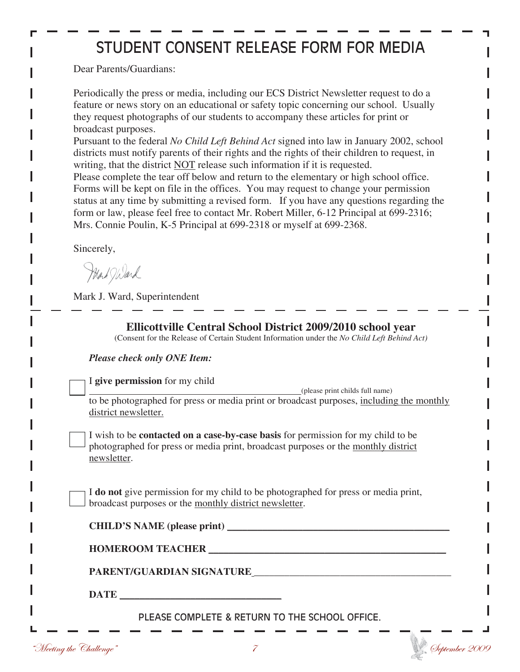### STUDENT CONSENT RELEASE FORM FOR MEDIA

Dear Parents/Guardians:

Periodically the press or media, including our ECS District Newsletter request to do a feature or news story on an educational or safety topic concerning our school. Usually they request photographs of our students to accompany these articles for print or broadcast purposes.

Pursuant to the federal *No Child Left Behind Act* signed into law in January 2002, school districts must notify parents of their rights and the rights of their children to request, in writing, that the district NOT release such information if it is requested.

Please complete the tear off below and return to the elementary or high school office. Forms will be kept on file in the offices. You may request to change your permission status at any time by submitting a revised form. If you have any questions regarding the form or law, please feel free to contact Mr. Robert Miller, 6-12 Principal at 699-2316; Mrs. Connie Poulin, K-5 Principal at 699-2318 or myself at 699-2368.

Sincerely,

Mark Ward

Mark J. Ward, Superintendent

| Please check only ONE Item:    |                                                                                                                                                                              |
|--------------------------------|------------------------------------------------------------------------------------------------------------------------------------------------------------------------------|
| I give permission for my child | (please print childs full name)                                                                                                                                              |
| district newsletter.           | to be photographed for press or media print or broadcast purposes, including the monthly                                                                                     |
| newsletter.                    | I wish to be <b>contacted on a case-by-case basis</b> for permission for my child to be<br>photographed for press or media print, broadcast purposes or the monthly district |
|                                | I do not give permission for my child to be photographed for press or media print,<br>broadcast purposes or the monthly district newsletter.                                 |
|                                | CHILD'S NAME (please print)                                                                                                                                                  |
|                                | HOMEROOM TEACHER                                                                                                                                                             |
|                                |                                                                                                                                                                              |
|                                |                                                                                                                                                                              |
|                                |                                                                                                                                                                              |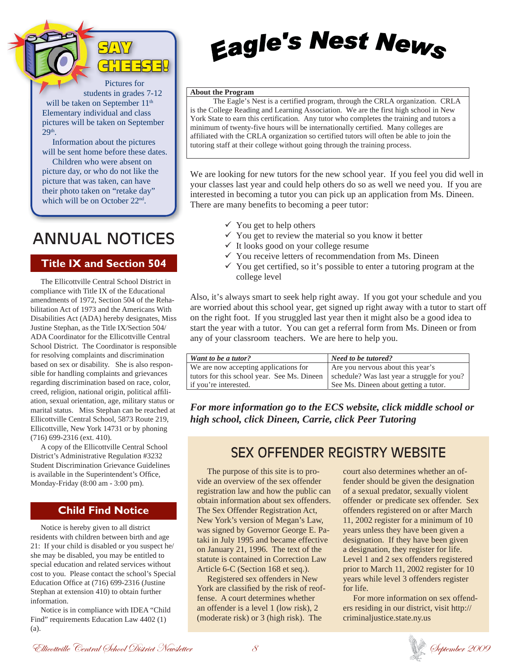

Pictures for students in grades 7-12 will be taken on September 11<sup>th</sup> Elementary individual and class pictures will be taken on September 29th.

Information about the pictures will be sent home before these dates.

Children who were absent on picture day, or who do not like the picture that was taken, can have their photo taken on "retake day" which will be on October 22nd.

### ANNUAL NOTICES

### **Title IX and Section 504**

The Ellicottville Central School District in compliance with Title IX of the Educational amendments of 1972, Section 504 of the Rehabilitation Act of 1973 and the Americans With Disabilities Act (ADA) hereby designates, Miss Justine Stephan, as the Title IX/Section 504/ ADA Coordinator for the Ellicottville Central School District. The Coordinator is responsible for resolving complaints and discrimination based on sex or disability. She is also responsible for handling complaints and grievances regarding discrimination based on race, color, creed, religion, national origin, political affiliation, sexual orientation, age, military status or marital status. Miss Stephan can be reached at Ellicottville Central School, 5873 Route 219, Ellicottville, New York 14731 or by phoning (716) 699-2316 (ext. 410).

A copy of the Ellicottville Central School District's Administrative Regulation #3232 Student Discrimination Grievance Guidelines is available in the Superintendent's Office, Monday-Friday (8:00 am - 3:00 pm).

### **Child Find Notice**

Notice is hereby given to all district residents with children between birth and age 21: If your child is disabled or you suspect he/ she may be disabled, you may be entitled to special education and related services without cost to you. Please contact the school's Special Education Office at  $(716)$  699-2316 (Justine Stephan at extension 410) to obtain further information.

Notice is in compliance with IDEA "Child Find" requirements Education Law 4402 (1) (a).

## **Eagle's Nest News**

### **About the Program**

The Eagle's Nest is a certified program, through the CRLA organization. CRLA is the College Reading and Learning Association. We are the first high school in New York State to earn this certification. Any tutor who completes the training and tutors a minimum of twenty-five hours will be internationally certified. Many colleges are affiliated with the CRLA organization so certified tutors will often be able to join the tutoring staff at their college without going through the training process.

We are looking for new tutors for the new school year. If you feel you did well in your classes last year and could help others do so as well we need you. If you are interested in becoming a tutor you can pick up an application from Ms. Dineen. There are many benefits to becoming a peer tutor:

- $\checkmark$  You get to help others
- $\checkmark$  You get to review the material so you know it better
- $\checkmark$  It looks good on your college resume
- $\checkmark$  You receive letters of recommendation from Ms. Dineen
- $\checkmark$  You get certified, so it's possible to enter a tutoring program at the college level

Also, it's always smart to seek help right away. If you got your schedule and you are worried about this school year, get signed up right away with a tutor to start off on the right foot. If you struggled last year then it might also be a good idea to start the year with a tutor. You can get a referral form from Ms. Dineen or from any of your classroom teachers. We are here to help you.

| Want to be a tutor?                         | Need to be tutored?                         |
|---------------------------------------------|---------------------------------------------|
| We are now accepting applications for       | Are you nervous about this year's           |
| tutors for this school year. See Ms. Dineen | schedule? Was last year a struggle for you? |
| if you're interested.                       | See Ms. Dineen about getting a tutor.       |

*For more information go to the ECS website, click middle school or high school, click Dineen, Carrie, click Peer Tutoring* 

### SEX OFFENDER REGISTRY WEBSITE

The purpose of this site is to provide an overview of the sex offender registration law and how the public can obtain information about sex offenders. The Sex Offender Registration Act, New York's version of Megan's Law, was signed by Governor George E. Pataki in July 1995 and became effective on January 21, 1996. The text of the statute is contained in Correction Law Article 6-C (Section 168 et seq.).

Registered sex offenders in New York are classified by the risk of reoffense. A court determines whether an offender is a level 1 (low risk), 2 (moderate risk) or 3 (high risk). The

court also determines whether an offender should be given the designation of a sexual predator, sexually violent offender or predicate sex offender. Sex offenders registered on or after March 11, 2002 register for a minimum of 10 years unless they have been given a designation. If they have been given a designation, they register for life. Level 1 and 2 sex offenders registered prior to March 11, 2002 register for 10 years while level 3 offenders register for life.

For more information on sex offenders residing in our district, visit http:// criminaljustice.state.ny.us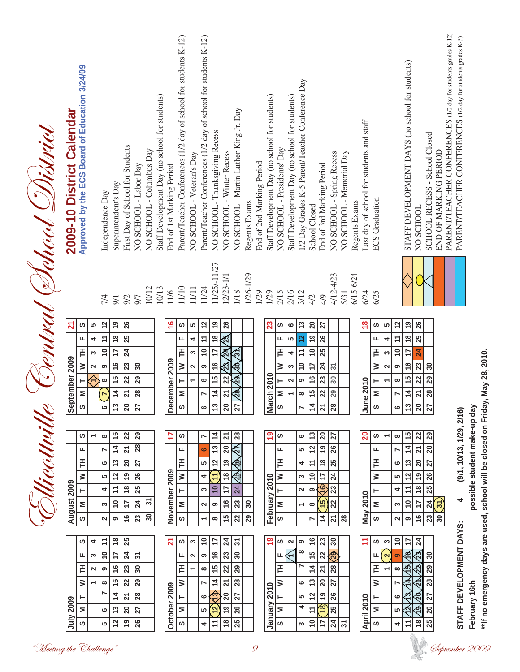| Bentral (Dehool District | 2009-10 District Calendar                   | Approved by the ECS Board of Education 3/24/09 |                                           | Independence Day                                                                       | Superintendent's Day                                                                                  | First Day of School for Students                                                                   | NO SCHOOL - Labor Day                                                      | NO SCHOOL - Columbus Day | Staff Development Day (no school for students) | End of 1st Marking Period                     | Parent/Teacher Conferences (1/2 day of school for students K-12) | NO SCHOOL - Veteran's Day                                                | Parent/Teacher Conferences (1/2 day of school for students K-12)                                | NO SCHOOL-Thanksgiving Recess<br>11/25/-11/27                                                          | NO SCHOOL - Winter Recess                                                                                                 | NO SCHOOL - Martin Luther King Jr. Day                        | Regents Exams           | End of 2nd Marking Period | Staff Development Day (no school for students)                                                | NO SCHOOL - Presidents' Day                        | Staff Development Day (no school for students)                  | 1/2 Day Grades K-5 Parent/Teacher Conference Day                                      | School Closed                                                                                                     | End of 3rd Marking Period                                                                              | NO SCHOOL - Spring Recess                                     | NO SCHOOL - Memorial Day | Regents Exams | Last day of school for students and staff                                                         | <b>ECS</b> Graduation                             |                                                                                                                             | STAFF DEVELOPMENT DAYS (no school for students)<br>NO SCHOOL                                                                                                                                                                   | SCHOOL RECESS - School Closed                                | END OF MARKING PERIOD            | PARENT/TEACHER CONFERENCES (1/2 day for students grades K-12) | PARENT/TEACHER CONFERENCES (1/2 day for students grades K-5) |                              |                                                                                 |
|--------------------------|---------------------------------------------|------------------------------------------------|-------------------------------------------|----------------------------------------------------------------------------------------|-------------------------------------------------------------------------------------------------------|----------------------------------------------------------------------------------------------------|----------------------------------------------------------------------------|--------------------------|------------------------------------------------|-----------------------------------------------|------------------------------------------------------------------|--------------------------------------------------------------------------|-------------------------------------------------------------------------------------------------|--------------------------------------------------------------------------------------------------------|---------------------------------------------------------------------------------------------------------------------------|---------------------------------------------------------------|-------------------------|---------------------------|-----------------------------------------------------------------------------------------------|----------------------------------------------------|-----------------------------------------------------------------|---------------------------------------------------------------------------------------|-------------------------------------------------------------------------------------------------------------------|--------------------------------------------------------------------------------------------------------|---------------------------------------------------------------|--------------------------|---------------|---------------------------------------------------------------------------------------------------|---------------------------------------------------|-----------------------------------------------------------------------------------------------------------------------------|--------------------------------------------------------------------------------------------------------------------------------------------------------------------------------------------------------------------------------|--------------------------------------------------------------|----------------------------------|---------------------------------------------------------------|--------------------------------------------------------------|------------------------------|---------------------------------------------------------------------------------|
|                          | $\mathbf{z}$<br>ptember 2009<br>$rac{6}{5}$ | ഗ<br>щ<br>FH<br>≥<br>۳<br>Σ<br>ဖာ              | ιΩ<br>4<br>S<br>$\mathbf{\tilde{c}}$<br>⇐ | 7/4<br>$\frac{2}{3}$<br>$\overline{1}$<br>$\tilde{e}$<br>ၜ<br>$\infty$<br>N<br>$\circ$ | 9/1<br>e)<br>$\frac{8}{1}$<br>17<br>$\frac{6}{5}$<br>$\frac{15}{2}$<br>14                             | 9/2<br>26<br>25<br>$\overline{24}$<br>23<br>22<br>$\overline{z}$<br><u>ី ន<math>\vert</math>ន</u>  | 9/7<br>30<br>29<br>28                                                      | 10/12                    | 10/13                                          | 11/6<br>$\frac{6}{5}$<br>December 2009        | 11/10<br>ဖ<br>щ<br>HT<br>$\geq$<br>H<br>Σ<br>  ဟ                 | $11/11$<br>မာ<br>4<br>S<br>$\mathbf{\Omega}$<br>$\overline{\phantom{0}}$ | 11/24<br>$\frac{2}{3}$<br>$\tilde{t}$<br>10<br>ၜ<br>$\infty$<br>N                               | <u>e</u><br>$\frac{8}{2}$<br>17<br>$\frac{6}{5}$<br>$\frac{15}{2}$<br>$\frac{4}{1}$<br><u>៰ ឌ </u> ន ឝ | 12/23-1/1<br>26<br>25<br>$\mathbf{z}$<br>္ဂိပ္<br>22<br>ম                                                                 | 1/18<br>ᢛ<br>$\frac{6}{3}$<br>29<br>$\frac{28}{3}$            | 1/26-1/29               | 1/29                      | 1/29<br>23<br>$\frac{\text{March }2010}{\text{S}\left[\text{ M}\right]\left[\text{T}\right]}$ | 2/15<br><b>S</b><br>щ<br>F<br>$\geq$               | 2/16<br>ڡ<br>မာ<br>4<br>S<br>$\sim$<br>$\overline{\phantom{0}}$ | 3/12<br>$\frac{3}{2}$<br>12<br>$\tilde{t}$<br>$\overline{0}$<br>$\bullet$<br>$\infty$ | 4/2<br>$\mathbf{S}$<br>ი<br>1<br>$\frac{8}{5}$<br>17<br>$\frac{6}{1}$<br>15<br>$r\left 1\right 2\left 2\right $   | 4/9<br>27<br>26<br>25<br>24<br>23<br>22                                                                | 4/12-4/23<br>$\overline{\widetilde{\mathcal{C}}}$<br>30<br>29 | 5/31                     | 6/15-6/24     | 6/24<br>$\frac{8}{18}$<br>$\begin{array}{c c c} \text{June 2010} \\ \text{0102 9010} \end{array}$ | 6/25<br>ဖ<br>LL.<br>F<br>$\geq$                   | $\frac{2}{3}$<br><u>ທ</u><br>$\ddot{ }$<br>4<br>$\overline{10}$<br>ო<br>2<br>ၜ<br>$\infty$<br>$\overline{\phantom{0}}$<br>r | <b>01</b><br>26<br>25<br>$\frac{8}{3}$<br>17<br>$\overline{24}$<br>$\frac{6}{5}$<br>23<br>$\frac{15}{2}$<br>22<br>$\frac{4}{5}$<br>$\overline{21}$<br><u>ျေငျမျာ</u>                                                           | 30<br>$\overline{29}$<br>28                                  |                                  |                                                               |                                                              |                              |                                                                                 |
| <u>s Micottville</u>     | August 2009                                 | ဖာ<br>щ<br>돈<br>≶<br>⊢<br>Σ<br>ဖ<br>ဖာ         | 4                                         | $\infty$<br>N<br>ဖ<br>5<br>4<br>$\sim$<br>$\boldsymbol{\sim}$<br>$\tilde{t}$           | $\frac{5}{2}$<br>$\frac{4}{3}$<br>13<br>$\frac{2}{3}$<br>$\div$<br>$\tilde{e}$<br>ၜ<br>$\frac{8}{10}$ | 22<br>$\overline{21}$<br>$\overline{20}$<br><b>e</b><br>$\frac{8}{1}$<br>17<br>$\frac{6}{1}$<br>25 | 29<br>$\overline{28}$<br>27<br>26<br>25<br>$\overline{24}$<br>$\mathbb{Z}$ | $\overline{5}$<br>30     |                                                | ₽<br>November 2009<br>$\overline{\mathbf{z}}$ | ဖ<br>щ<br>Ē<br>$\geq$<br>$\vdash$<br>Σ<br>ဖာ<br><b>ဟ</b>         | S                                                                        | N<br>ဖ<br>5<br>4<br>$\infty$<br>$\mathbf{\tilde{z}}$<br>$\overline{\phantom{0}}$<br>$\tilde{=}$ | $\overline{4}$<br>$\overline{13}$<br>$\mathbf{r}$<br>Ξ<br>10<br>൭<br>$\infty$<br>17                    | 24<br>$\overline{20}$<br><b>e</b><br>$\frac{8}{1}$<br>$\overline{1}$<br>$\frac{6}{1}$<br>$\frac{6}{7}$<br>$\overline{24}$ | 28<br>$\frac{1}{2}$<br>25<br>24<br>23<br>22<br>$\overline{5}$ | $\boldsymbol{30}$<br>29 |                           | ల్లె<br>February 2010<br><u>e</u>                                                             | ဖ<br>щ<br>돈<br>$\geq$<br>$\vdash$<br>Σ<br>ဖာ<br>ပာ | $\sim$                                                          | ٯ<br><u>မာ</u><br>4<br>S<br>$\mathbf{\Omega}$<br>$\overline{\phantom{0}}$<br>ၜ        | $\boldsymbol{\mathfrak{e}}$<br>$\frac{2}{3}$<br>$\div$<br>$\tilde{e}$<br>თ $\,$<br>$\infty$<br>N<br>$\frac{6}{5}$ | $\overline{20}$<br><u>ုရ</u><br>$\frac{8}{10}$<br>17<br>$\widehat{\Phi}$<br>15<br>$\overline{4}$<br>23 | 77<br>26<br>25<br>24<br>23<br>22<br>$\overline{21}$<br>30     | 28                       |               | $\overline{20}$<br><b>May 2010</b><br>Ξ                                                           | S<br>щ<br>F<br>$\geq$<br>۳<br>Σ<br><b>S</b><br>ပာ | $\infty$<br>$\overline{\phantom{0}}$<br>N<br>ဖ<br>မာ<br>4<br>S<br>2<br>$\tilde{e}$<br>S                                     | $\frac{15}{2}$<br>22<br>$\frac{4}{3}$<br>$\overline{\mathbf{z}}$<br>20<br>$\frac{3}{2}$<br>$\frac{1}{2}$<br>$\mathbf{r}$<br>$\overline{18}$<br>$\tilde{\tau}$<br>$\frac{0}{1}$<br>17<br>$\frac{6}{1}$<br>ၜ<br>24<br>$\ddot{ }$ | 29<br>28<br>27<br>26<br>25                                   | $\frac{a}{5}$<br>$\frac{23}{30}$ |                                                               | (9/1, 10/13, 1/29, 2/16)<br>4                                | possible student make-up day | **If no emergency days are used, school will be closed on Friday, May 28, 2010. |
| "Meeting the Challenge"  | July 2009                                   | щ<br>퐅<br>$\geq$<br>Σ<br>ဖ                     | S<br>2                                    | $\tilde{=}$<br>൭<br>$\infty$<br>r<br>$\bullet$<br>ശ                                    | 17<br>$\overline{16}$<br>15<br>$\ddot{4}$<br>$\frac{3}{2}$<br>$\overline{c}$                          | $\overline{24}$<br>23<br>22<br>$\overline{z}$<br>$\overline{20}$<br>$\overline{6}$                 | $\tilde{\bm{c}}$<br>$30\,$<br>29<br>28<br>27<br>26                         |                          |                                                | October 2009                                  | щ<br>퐅<br>$\geq$<br>⊢<br>Σ<br>ဖ                                  | $\mathbf{\mathsf{N}}$                                                    | ၜ<br>$\infty$<br>N<br>$\bullet$<br>LO.<br>4                                                     | $\frac{6}{5}$<br>$\frac{15}{2}$<br>$\frac{4}{4}$<br>$\langle 3 \rangle$<br>12<br>$\overline{r}$        | 23<br>22<br>$\overline{\mathbf{z}}$<br>$\overline{20}$<br><b>0</b><br>$\frac{8}{1}$                                       | 30<br>29<br>28<br>27<br>26<br>25                              |                         | 9                         | January 2010                                                                                  | щ<br>돈<br>$\geq$<br>$\vdash$<br>Σ<br>တ             | $\overline{\phantom{a}}$                                        | $\infty$<br>N<br>ဖ<br>LO<br>4<br>$\infty$                                             | 15<br>$\overline{4}$<br>13<br>$\frac{2}{3}$<br>$\tilde{t}$<br>$\mathrel{\mathop{\mathsf{e}}\nolimits}$            | 22<br>$\overline{\mathbf{z}}$<br>20<br>$\overline{e}$<br><u>ලි</u><br>$\frac{1}{7}$                    | 29<br>28<br>27<br>26<br>25<br>24                              | $\overline{5}$           |               | April 2010                                                                                        | щ<br>논<br>₿<br>۳<br>$\geq$<br>ဖ                   | 2<br>ၜ<br>$\infty$<br>T<br>ဖ<br>မာ<br>4                                                                                     | ∖€<br>$\approx$<br>ক্রি<br>र्ी<br>$20\sqrt{ }$<br>€<br>$\widetilde{\mathbb{A}}$<br><u> 12</u><br>$\frac{1}{8}$<br>$\overline{t}$                                                                                               | $\boldsymbol{30}$<br>$\overline{29}$<br>28<br>27<br>26<br>25 |                                  |                                                               | STAFF DEVELOPMENT DAYS:<br>September 2009                    | February 16th                |                                                                                 |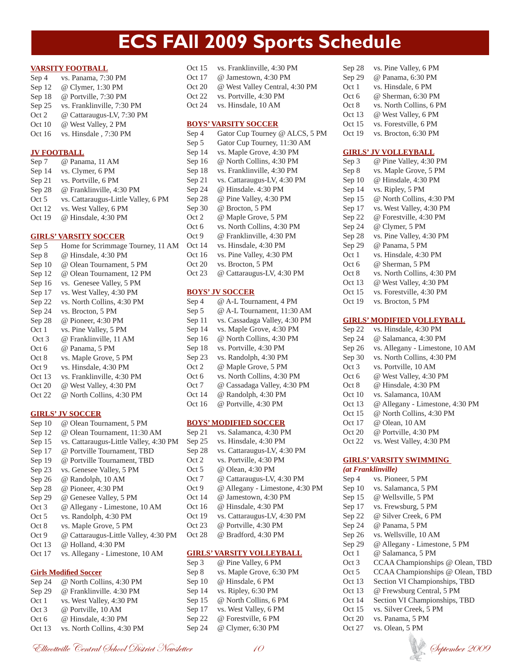### **ECS FAll 2009 Sports Schedule**

#### **VARSITY FOOTBALL**

Sep 4 vs. Panama, 7:30 PM Sep 12 @ Clymer, 1:30 PM Sep 18 @ Portville, 7:30 PM Sep 25 vs. Franklinville, 7:30 PM Oct 2 @ Cattaraugus-LV, 7:30 PM Oct 10 @ West Valley, 2 PM Oct 16 vs. Hinsdale , 7:30 PM

### **JV FOOTBALL**

| Sep 7    | @ Panama, 11 AM                     |
|----------|-------------------------------------|
| Sep 14   | vs. Clymer, 6 PM                    |
| Sep 21   | vs. Portville, 6 PM                 |
| Sep 28   | @ Franklinville, 4:30 PM            |
| Oct 5    | vs. Cattaraugus-Little Valley, 6 PM |
| Oct $12$ | vs. West Valley, 6 PM               |
| Oct 19   | @ Hinsdale, 4:30 PM                 |

### **GIRLS' VARSITY SOCCER**

Sep 5 Home for Scrimmage Tourney, 11 AM Sep 8 @ Hinsdale, 4:30 PM Sep 10 @ Olean Tournament, 5 PM Sep 12 @ Olean Tournament, 12 PM Sep 16 vs. Genesee Valley, 5 PM Sep 17 vs. West Valley, 4:30 PM Sep 22 vs. North Collins, 4:30 PM Sep 24 vs. Brocton, 5 PM Sep 28 @ Pioneer, 4:30 PM Oct 1 vs. Pine Valley, 5 PM Oct 3 @ Franklinville, 11 AM Oct 6 @ Panama, 5 PM Oct 8 vs. Maple Grove, 5 PM Oct 9 vs. Hinsdale, 4:30 PM Oct 13 vs. Franklinville, 4:30 PM Oct 20 @ West Valley, 4:30 PM Oct 22 @ North Collins, 4:30 PM

#### **GIRLS' JV SOCCER**

Sep 10 @ Olean Tournament, 5 PM Sep 12 @ Olean Tournament, 11:30 AM Sep 15 vs. Cattaraugus-Little Valley, 4:30 PM Sep 17 @ Portville Tournament, TBD Sep 19 @ Portville Tournament, TBD Sep 23 vs. Genesee Valley, 5 PM Sep 26 @ Randolph, 10 AM Sep 28 @ Pioneer, 4:30 PM Sep 29 @ Genesee Valley, 5 PM Oct 3 @ Allegany - Limestone, 10 AM Oct 5 vs. Randolph, 4:30 PM Oct 8 vs. Maple Grove, 5 PM Oct 9 @ Cattaraugus-Little Valley, 4:30 PM Oct 13 @ Holland, 4:30 PM Oct 17 vs. Allegany - Limestone, 10 AM

#### **Girls Modified Soccer**

| Sep 24 | @ North Collins, 4:30 PM   |
|--------|----------------------------|
| Sep 29 | @ Franklinville. 4:30 PM   |
| Oct 1  | vs. West Valley, 4:30 PM   |
| Oct 3  | @ Portville, 10 AM         |
| Oct 6  | @ Hinsdale, 4:30 PM        |
| Oct 13 | vs. North Collins, 4:30 PM |

| Oct 15 | vs. Franklinville, 4:30 PM     |
|--------|--------------------------------|
| Oct 17 | @ Jamestown, 4:30 PM           |
| Oct 20 | @ West Valley Central, 4:30 PM |
| Oct 22 | vs. Portville, 4:30 PM         |
| Oct 24 | vs. Hinsdale, 10 AM            |

#### **BOYS' VARSITY SOCCER**

| Sep 4  | Gator Cup Tourney @ ALCS, 5 PM |
|--------|--------------------------------|
| Sep 5  | Gator Cup Tourney, 11:30 AM    |
| Sep 14 | vs. Maple Grove, 4:30 PM       |
| Sep 16 | @ North Collins, 4:30 PM       |
| Sep 18 | vs. Franklinville, 4:30 PM     |
| Sep 21 | vs. Cattaraugus-LV, 4:30 PM    |
| Sep 24 | @ Hinsdale. 4:30 PM            |
| Sep 28 | @ Pine Valley, 4:30 PM         |
| Sep 30 | @ Brocton, 5 PM                |
| Oct 2  | @ Maple Grove, 5 PM            |
| Oct 6  | vs. North Collins, 4:30 PM     |
| Oct 9  | @ Franklinville, 4:30 PM       |
| Oct 14 | vs. Hinsdale, 4:30 PM          |
| Oct 16 | vs. Pine Valley, 4:30 PM       |
| Oct 20 | vs. Brocton, 5 PM              |
| Oct 23 | @ Cattaraugus-LV, 4:30 PM      |

### **BOYS' JV SOCCER**

| Sep 4  | @ A-L Tournament, 4 PM        |
|--------|-------------------------------|
| Sep 5  | @ A-L Tournament, 11:30 AM    |
| Sep 11 | vs. Cassadaga Valley, 4:30 PM |
| Sep 14 | vs. Maple Grove, 4:30 PM      |
| Sep 16 | @ North Collins, 4:30 PM      |
| Sep 18 | vs. Portville, 4:30 PM        |
| Sep 23 | vs. Randolph, 4:30 PM         |
| Oct 2  | @ Maple Grove, 5 PM           |
| Oct 6  | vs. North Collins, 4:30 PM    |
| Oct 7  | @ Cassadaga Valley, 4:30 PM   |
| Oct 14 | @ Randolph, 4:30 PM           |
| Oct 16 | @ Portville, 4:30 PM          |

### **BOYS' MODIFIED SOCCER**

| Sep 21 | vs. Salamanca, 4:30 PM          |
|--------|---------------------------------|
| Sep 25 | vs. Hinsdale, 4:30 PM           |
| Sep 28 | vs. Cattaraugus-LV, 4:30 PM     |
| Oct 2  | vs. Portville, 4:30 PM          |
| Oct 5  | @ Olean, 4:30 PM                |
| Oct 7  | @ Cattaraugus-LV, 4:30 PM       |
| Oct 9  | @ Allegany - Limestone, 4:30 PM |
| Oct 14 | @ Jamestown, 4:30 PM            |
| Oct 16 | @ Hinsdale, 4:30 PM             |
| Oct 19 | vs. Cattaraugus-LV, 4:30 PM     |
| Oct 23 | @ Portville, 4:30 PM            |
| Oct 28 | @ Bradford, 4:30 PM             |
|        |                                 |

#### **GIRLS' VARSITY VOLLEYBALL**

| Sep 3  | @ Pine Valley, 6 PM      |
|--------|--------------------------|
| Sep 8  | vs. Maple Grove, 6:30 PM |
| Sep 10 | @ Hinsdale, 6 PM         |
| Sep 14 | vs. Ripley, 6:30 PM      |
| Sep 15 | @ North Collins, 6 PM    |
| Sep 17 | vs. West Valley, 6 PM    |
| Sep 22 | @ Forestville, 6 PM      |
| Sep 24 | @ Clymer, 6:30 PM        |

| Sep 28 | vs. Pine Valley, 6 PM   |
|--------|-------------------------|
| Sep 29 | @ Panama, 6:30 PM       |
| Oct 1  | vs. Hinsdale, 6 PM      |
| Oct 6  | @ Sherman, 6:30 PM      |
| Oct 8  | vs. North Collins, 6 PM |
| Oct 13 | @ West Valley, 6 PM     |
| Oct 15 | vs. Forestville, 6 PM   |
| Oct 19 | vs. Brocton, 6:30 PM    |

### **GIRLS' JV VOLLEYBALL**

| Sep 3  | @ Pine Valley, 4:30 PM     |
|--------|----------------------------|
| Sep 8  | vs. Maple Grove, 5 PM      |
| Sep 10 | @ Hinsdale, 4:30 PM        |
| Sep 14 | vs. Ripley, 5 PM           |
| Sep 15 | @ North Collins, 4:30 PM   |
| Sep 17 | vs. West Valley, 4:30 PM   |
| Sep 22 | @ Forestville, 4:30 PM     |
| Sep 24 | @ Clymer, 5 PM             |
| Sep 28 | vs. Pine Valley, 4:30 PM   |
| Sep 29 | @ Panama, 5 PM             |
| Oct 1  | vs. Hinsdale, 4:30 PM      |
| Oct 6  | @ Sherman, 5 PM            |
| Oct 8  | vs. North Collins, 4:30 PM |
| Oct 13 | @ West Valley, 4:30 PM     |
| Oct 15 | vs. Forestville, 4:30 PM   |
| Oct 19 | vs. Brocton, 5 PM          |
|        |                            |

### **GIRLS' MODIFIED VOLLEYBALL**

| Sep 22 | vs. Hinsdale, 4:30 PM           |
|--------|---------------------------------|
| Sep 24 | @ Salamanca, 4:30 PM            |
| Sep 26 | vs. Allegany - Limestone, 10 AM |
| Sep 30 | vs. North Collins, 4:30 PM      |
| Oct 3  | vs. Portville, 10 AM            |
| Oct 6  | @ West Valley, 4:30 PM          |
| Oct 8  | @ Hinsdale, 4:30 PM             |
| Oct 10 | vs. Salamanca, 10AM             |
| Oct 13 | @ Allegany - Limestone, 4:30 PM |
| Oct 15 | @ North Collins, 4:30 PM        |
| Oct 17 | @ Olean, 10 AM                  |
| Oct 20 | @ Portville, 4:30 PM            |
| Oct 22 | vs. West Valley, 4:30 PM        |

### **GIRLS' VARSITY SWIMMING**

| (at Franklinville) |                                 |
|--------------------|---------------------------------|
| Sep 4              | vs. Pioneer, 5 PM               |
| Sep 10             | vs. Salamanca, 5 PM             |
| Sep $15$           | @ Wellsville, 5 PM              |
| Sep 17             | vs. Frewsburg, 5 PM             |
| Sep 22             | @ Silver Creek, 6 PM            |
| Sep 24             | @ Panama, 5 PM                  |
| Sep 26             | vs. Wellsville, 10 AM           |
| Sep 29             | @ Allegany - Limestone, 5 PM    |
| Oct 1              | @ Salamanca, 5 PM               |
| Oct 3              | CCAA Championships @ Olean, TBD |
| Oct 5              | CCAA Championships @ Olean, TBD |
| Oct 13             | Section VI Championships, TBD   |
| Oct 13             | @ Frewsburg Central, 5 PM       |
| Oct 14             | Section VI Championships, TBD   |
| Oct 15             | vs. Silver Creek, 5 PM          |
| Oct 20             | vs. Panama, 5 PM                |
| Oct 27             | vs. Olean, 5 PM                 |
|                    |                                 |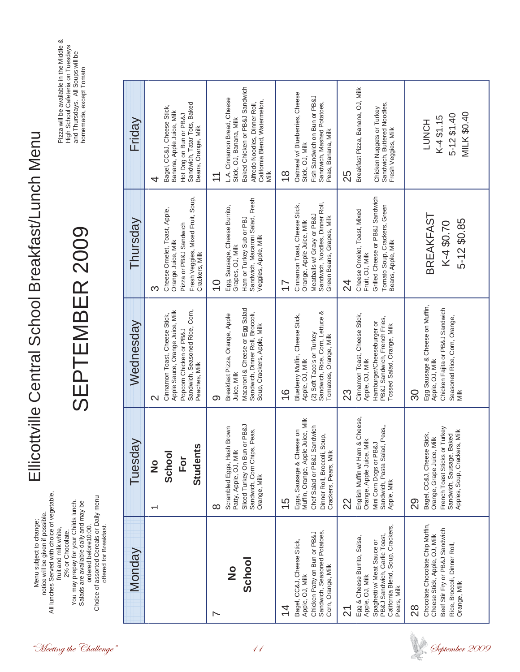|                         | notice will be given if possible.<br>Menu subject to change;                                                                                                                                                                                                             |                                                                                                                                                              | Ellicottville Central School Breakfast/Lunch Menu                                                                                                              |                                                                                                                                                                                      |                                                                                                                                                                    |  |
|-------------------------|--------------------------------------------------------------------------------------------------------------------------------------------------------------------------------------------------------------------------------------------------------------------------|--------------------------------------------------------------------------------------------------------------------------------------------------------------|----------------------------------------------------------------------------------------------------------------------------------------------------------------|--------------------------------------------------------------------------------------------------------------------------------------------------------------------------------------|--------------------------------------------------------------------------------------------------------------------------------------------------------------------|--|
| "Meeting the Challenge" | All lunches Served with choice of vegetable<br>Choice of assorted Cereals or Daily menu<br>You may prepay for your Childs lunch.<br>Salads are available daily and may be<br>ordered before10:00.<br>offered for Breakfast.<br>fruit and milk white,<br>2% or Chocolate. |                                                                                                                                                              | SEPTEMBER 2009                                                                                                                                                 |                                                                                                                                                                                      | Pizza will be available in the Middle &<br>High School Cafeteria on Tuesdays<br>and Thursdays. All Soups will be<br>homemade, except Tomato                        |  |
|                         | Monday                                                                                                                                                                                                                                                                   | Tuesday                                                                                                                                                      | Wednesday                                                                                                                                                      | Thursday                                                                                                                                                                             | Friday                                                                                                                                                             |  |
|                         |                                                                                                                                                                                                                                                                          | <b>Students</b><br>School<br>$\overline{\overline{C}}$<br>$\frac{1}{2}$                                                                                      | Sandwich, Seasoned Rice, Corn,<br>Apple Sauce, Orange Juice, Milk<br>Cinnamon Toast, Cheese Stick,<br>Popcorn Chicken or PB&J<br>Peaches, Milk<br>$\mathsf{N}$ | Fresh Veggies, Mixed Fruit, Soup,<br>Crackers, Milk<br>Cheese Omelet, Toast, Apple,<br>Pizza or PB&J Sandwich<br>Orange Juice, Milk<br>ო                                             | Sandwich, Tatar Tots, Baked<br>Beans, Orange, Milk<br>Bagel, CC&J, Cheese Stick,<br>Banana, Apple Juice, Milk<br>Hot Dog on Bun or PB&J<br>4                       |  |
| $\overline{11}$         | School<br>$\frac{\mathsf{o}}{\mathsf{z}}$<br>∼                                                                                                                                                                                                                           | Sliced Turkey On Bun or PB&J<br>Scrambled Eggs, Hash Brown<br>Sandwich, Corn Chips, Peas,<br>Patty, Apple, OJ, Milk<br>Orange, Milk<br>∞                     | Macaroni & Cheese or Egg Salad<br>Sandwich, Dinner Roll, Broccoli,<br>Breakfast Pizza, Orange, Apple<br>Soup, Crackers, Apple, Milk<br>Juice, Milk<br>တ        | Sandwich, Macaroni Salad, Fresh<br>Egg, Sausage, Cheese Burrito,<br>Ham or Turkey Sub or PBJ<br>Veggies, Apple, Milk<br>Grapes, OJ, Milk<br>$\frac{0}{1}$                            | Baked Chicken or PB&J Sandwich<br>L.A. Cinnamon Bread, Cheese<br>Alfredo Noodles, Dinner Roll,<br>California Blend, Watermelon,<br>Stick, OJ, Banana, Milk<br>Milk |  |
|                         | Sandwich, Seasoned Potatoes<br>Chicken Patty on Bun or PB&J<br>Bagel, CC&J, Cheese Stick,<br>Corn, Orange, Milk<br>Apple, OJ, Milk<br>4                                                                                                                                  | Muffin, Orange, Apple Juice, Milk<br>Chef Salad or PB&J Sandwich<br>Eggs, Sausage & Cheese on<br>Dinner Roll, Broccoli, Soup,<br>Crackers, Pears, Milk<br>15 | Sandwich, Rice, Corn, Lettuce &<br>Tomatoes, Orange, Milk<br>Blueberry Muffin, Cheese Stick,<br>(2) Soft Taco's or Turkey<br>Apple, OJ, Milk<br>16             | Sandwich, Noodles, Dinner Roll,<br>Green Beans, Grapes, Milk<br>Cinnamon Toast, Cheese Stick,<br>Meatballs w/ Gravy or PB&J<br>Orange, Apple Juice, Milk<br>$\overline{\phantom{0}}$ | Oatmeal w/ Blueberries, Cheese<br>Fish Sandwich on Bun or PB&J<br>Sandwich, Mashed Potatoes,<br>Peas, Banana, Milk<br>Stick, OJ, Milk<br>$\frac{8}{3}$             |  |
|                         | PB&J Sandwich, Garlic Toast,<br>California Blend, Soup, Crackers,<br>Egg & Cheese Burrito, Salsa,<br>Spaghetti w/ Meat Sauce or<br>Apple, OJ, Milk<br>Pears, Milk<br><u>र्ज</u>                                                                                          | English Muffin w/ Ham & Cheese,<br>Sandwich, Pasta Salad, Peas,<br>Orange, Apple Juice, Milk<br>Mini Corn Dogs or PB&J<br>Apple, Milk<br>22                  | Cinnamon Toast, Cheese Stick,<br>PB&J Sandwich, French Fries,<br>Hamburger/Cheeseburger or<br>Tossed Salad, Orange, Milk<br>Apple, OJ, Milk<br>23              | Grilled Cheese or PB&J Sandwich<br>Tomato Soup, Crackers, Green<br>Beans, Apple, Milk<br>Cheese Omelet, Toast, Mixed<br>Fruit, OJ, Milk<br>24                                        | Breakfast Pizza, Banana, OJ, Milk<br>Chicken Nuggets or Turkey<br>Sandwich, Buttered Noodles,<br>Fresh Veggies, Milk<br>25                                         |  |
| Øeptember 2009          | Chocolate Chocolate Chip Muffin,<br>Beef Stir Fry or PB&J Sandwich<br>Cheese Stick, Apple, OJ, Milk<br>Rice, Broccoli, Dinner Roll,<br>Orange, Milk<br>80                                                                                                                | French Toast Sticks or Turkey<br>Apples, Soup, Crackers, Milk<br>Bagel, CC&J, Cheese Stick,<br>Sandwich, Sausage, Baked<br>Orange, Grape Juice, Milk<br>29   | Egg Sausage & Cheese on Muffin,<br>Chicken Fajita or PB&J Sandwich<br>Seasoned Rice, Corn, Orange,<br>Milk<br>Apple, OJ, Milk<br>႙                             | <b>BREAKFAST</b><br>5-12 \$0.85<br>K-4 \$0.70                                                                                                                                        | MILK \$0.40<br>$5 - 12 $1.40$<br>K-4\$1.15<br><b>LUNCH</b>                                                                                                         |  |